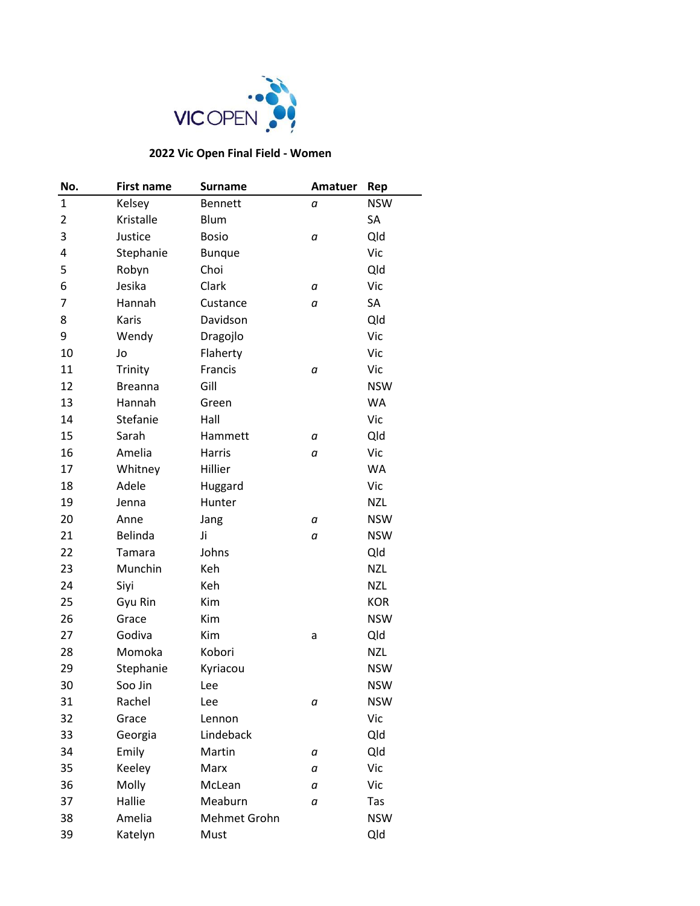

## **2022 Vic Open Final Field - Women**

| No.            | <b>First name</b> | <b>Surname</b> | Amatuer | Rep        |
|----------------|-------------------|----------------|---------|------------|
| $\mathbf{1}$   | Kelsey            | <b>Bennett</b> | а       | <b>NSW</b> |
| $\overline{2}$ | Kristalle         | <b>Blum</b>    |         | SA         |
| 3              | Justice           | <b>Bosio</b>   | а       | Qld        |
| 4              | Stephanie         | <b>Bunque</b>  |         | Vic        |
| 5              | Robyn             | Choi           |         | Qld        |
| 6              | Jesika            | Clark          | а       | Vic        |
| 7              | Hannah            | Custance       | а       | SA         |
| 8              | Karis             | Davidson       |         | Qld        |
| 9              | Wendy             | Dragojlo       |         | Vic        |
| 10             | Jo                | Flaherty       |         | Vic        |
| 11             | Trinity           | Francis        | а       | Vic        |
| 12             | <b>Breanna</b>    | Gill           |         | <b>NSW</b> |
| 13             | Hannah            | Green          |         | <b>WA</b>  |
| 14             | Stefanie          | Hall           |         | Vic        |
| 15             | Sarah             | Hammett        | а       | Qld        |
| 16             | Amelia            | Harris         | а       | Vic        |
| 17             | Whitney           | Hillier        |         | <b>WA</b>  |
| 18             | Adele             | Huggard        |         | Vic        |
| 19             | Jenna             | Hunter         |         | <b>NZL</b> |
| 20             | Anne              | Jang           | а       | <b>NSW</b> |
| 21             | Belinda           | Ji             | а       | <b>NSW</b> |
| 22             | Tamara            | Johns          |         | Qld        |
| 23             | Munchin           | Keh            |         | <b>NZL</b> |
| 24             | Siyi              | Keh            |         | <b>NZL</b> |
| 25             | Gyu Rin           | Kim            |         | <b>KOR</b> |
| 26             | Grace             | Kim            |         | <b>NSW</b> |
| 27             | Godiva            | Kim            | а       | Qld        |
| 28             | Momoka            | Kobori         |         | <b>NZL</b> |
| 29             | Stephanie         | Kyriacou       |         | <b>NSW</b> |
| 30             | Soo Jin           | Lee            |         | <b>NSW</b> |
| 31             | Rachel            | Lee            | а       | <b>NSW</b> |
| 32             | Grace             | Lennon         |         | Vic        |
| 33             | Georgia           | Lindeback      |         | Qld        |
| 34             | Emily             | Martin         | а       | Qld        |
| 35             | Keeley            | Marx           | а       | Vic        |
| 36             | Molly             | McLean         | а       | Vic        |
| 37             | Hallie            | Meaburn        | а       | Tas        |
| 38             | Amelia            | Mehmet Grohn   |         | <b>NSW</b> |
| 39             | Katelyn           | Must           |         | Qld        |